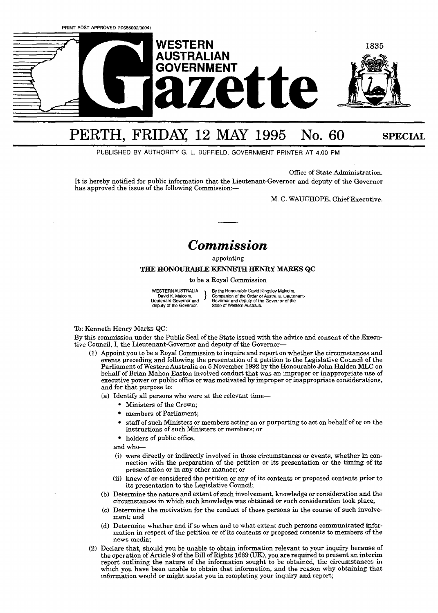

## PERTH, FRIDAY 12 MAY 1995 No. 60 SPECIAL

PUBLISHED BY AUTHORITY G. L. DUFFIELD, GOVERNMENT PRINTER AT **4.00** PM

Office of State Administration.

It is hereby notified for public information that the Lieutenant-Governor and deputy of the Governor has approved the issue of the following Commission:-

M. C. WAUCHOPE, Chief Executive.

## *Commission*

appointing

## *THE HONOURABLE* **KENNE'l'E HENRY MARES** QC

to be a Royal Commission

WESTERNAUSTRALIA By the Honourable David Kingsley Malcolm,<br>
David K. Malcolm, Companion of the Order of Australia, Lieute<br>
Lieutemant-Governor and Governor and deputy of the Governor.<br>
State of Western Australia. **David K. Malcolm. Proparion of the Order of Australia, Lieutenant-Governor and Covernor and deputy of the Governor of the deputy of the Governor. State of Western Australia.** 

## To: Kenneth Henry Marks QC:

By this commission under the Public Seal of the State issued with the advice and consent **of** the Executive Council, I, the Lieutenant-Governor and deputy of the Governor-

- **(1)** Appoint you to be a Royal Commission to inquire and report on whether the circumstances and events preceding and following the presentation of a petition to the Legislative Council of the Parliament of Western Australia on 5 November 1992 by the Honourable John Halden MLC on behalf of Brian Mahon Easton involved conduct that **was** an improper or inappropriate **use** of executive power or public office or **was** motivated by improper or inappropriate considerations, and for that purpose to:
	- (a) Identify all persons who were at the relevant time-
		- \* Ministers of the Crown;
		- members of Parliament;
		- staff of such Ministers or members acting on or purporting to act on behalf of or on the  $\bullet$ instructions of such Ministers or members; or
		- holders of public office,

and who-

- **(i)** were directly or indirectly involved in those circumstances or events, whether in connection with the preparation of the petition or its presentation or the timing of its presentation or in any other manner; or
- (ii) knew of or considered the petition or any of its contents or proposed contents prior to its presentation to the Legislative Council;
- (b) Determine the nature and extent of such involvement, knowledge or consideration and the circumstances in which such knowledge was obtained or such consideration took **place;**
- (C) Determine the motivation for the conduct of those persons in the course of such involvement; and
- (d) Determine whether and if so when and to what extent such persons communicated information in respect of the petition or of its contents or proposed contents to members of the news media;
- (2) Declare that, should you be unable to obtain information relevant to your inquiry because of the operation of Article 9 of the Bill of Rights 1689 **(UK),** you are required to present *an* **interim**  report outlining the nature of the information sought to be obtained, the circumstances in which you have been unable to obtain that information, and the reason why obtaining that information would or might **assist** you in completing your inquiry **and** report;